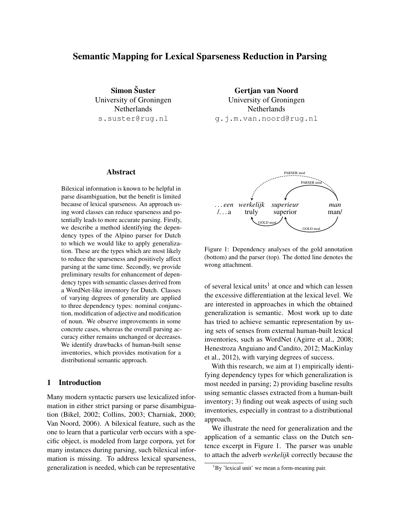# Semantic Mapping for Lexical Sparseness Reduction in Parsing

Simon Šuster University of Groningen Netherlands s.suster@rug.nl

Gertjan van Noord University of Groningen Netherlands g.j.m.van.noord@rug.nl

### Abstract

Bilexical information is known to be helpful in parse disambiguation, but the benefit is limited because of lexical sparseness. An approach using word classes can reduce sparseness and potentially leads to more accurate parsing. Firstly, we describe a method identifying the dependency types of the Alpino parser for Dutch to which we would like to apply generalization. These are the types which are most likely to reduce the sparseness and positively affect parsing at the same time. Secondly, we provide preliminary results for enhancement of dependency types with semantic classes derived from a WordNet-like inventory for Dutch. Classes of varying degrees of generality are applied to three dependency types: nominal conjunction, modification of adjective and modification of noun. We observe improvements in some concrete cases, whereas the overall parsing accuracy either remains unchanged or decreases. We identify drawbacks of human-built sense inventories, which provides motivation for a distributional semantic approach.

### 1 Introduction

Many modern syntactic parsers use lexicalized information in either strict parsing or parse disambiguation (Bikel, 2002; Collins, 2003; Charniak, 2000; Van Noord, 2006). A bilexical feature, such as the one to learn that a particular verb occurs with a specific object, is modeled from large corpora, yet for many instances during parsing, such bilexical information is missing. To address lexical sparseness, generalization is needed, which can be representative



Figure 1: Dependency analyses of the gold annotation (bottom) and the parser (top). The dotted line denotes the wrong attachment.

of several lexical units<sup>1</sup> at once and which can lessen the excessive differentiation at the lexical level. We are interested in approaches in which the obtained generalization is semantic. Most work up to date has tried to achieve semantic representation by using sets of senses from external human-built lexical inventories, such as WordNet (Agirre et al., 2008; Henestroza Anguiano and Candito, 2012; MacKinlay et al., 2012), with varying degrees of success.

With this research, we aim at 1) empirically identifying dependency types for which generalization is most needed in parsing; 2) providing baseline results using semantic classes extracted from a human-built inventory; 3) finding out weak aspects of using such inventories, especially in contrast to a distributional approach.

We illustrate the need for generalization and the application of a semantic class on the Dutch sentence excerpt in Figure 1. The parser was unable to attach the adverb *werkelijk* correctly because the

 ${}^{1}$ By 'lexical unit' we mean a form-meaning pair.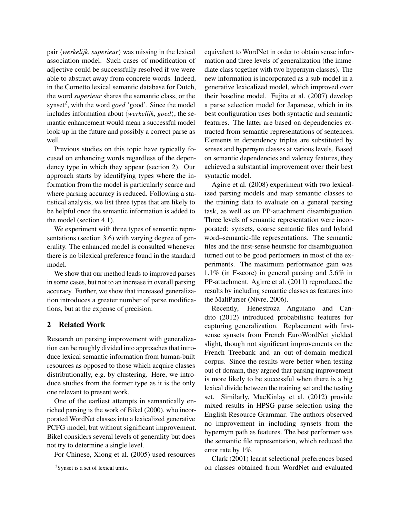pair  $\langle \text{werkelijk}, \text{superieur} \rangle$  was missing in the lexical association model. Such cases of modification of adjective could be successfully resolved if we were able to abstract away from concrete words. Indeed, in the Cornetto lexical semantic database for Dutch, the word *superieur* shares the semantic class, or the synset<sup>2</sup>, with the word *goed* 'good'. Since the model includes information about  $\langle \text{werkelijk}, \text{goed} \rangle$ , the semantic enhancement would mean a successful model look-up in the future and possibly a correct parse as well.

Previous studies on this topic have typically focused on enhancing words regardless of the dependency type in which they appear (section 2). Our approach starts by identifying types where the information from the model is particularly scarce and where parsing accuracy is reduced. Following a statistical analysis, we list three types that are likely to be helpful once the semantic information is added to the model (section 4.1).

We experiment with three types of semantic representations (section 3.6) with varying degree of generality. The enhanced model is consulted whenever there is no bilexical preference found in the standard model.

We show that our method leads to improved parses in some cases, but not to an increase in overall parsing accuracy. Further, we show that increased generalization introduces a greater number of parse modifications, but at the expense of precision.

# 2 Related Work

Research on parsing improvement with generalization can be roughly divided into approaches that introduce lexical semantic information from human-built resources as opposed to those which acquire classes distributionally, e.g. by clustering. Here, we introduce studies from the former type as it is the only one relevant to present work.

One of the earliest attempts in semantically enriched parsing is the work of Bikel (2000), who incorporated WordNet classes into a lexicalized generative PCFG model, but without significant improvement. Bikel considers several levels of generality but does not try to determine a single level.

For Chinese, Xiong et al. (2005) used resources

equivalent to WordNet in order to obtain sense information and three levels of generalization (the immediate class together with two hypernym classes). The new information is incorporated as a sub-model in a generative lexicalized model, which improved over their baseline model. Fujita et al. (2007) develop a parse selection model for Japanese, which in its best configuration uses both syntactic and semantic features. The latter are based on dependencies extracted from semantic representations of sentences. Elements in dependency triples are substituted by senses and hypernym classes at various levels. Based on semantic dependencies and valency features, they achieved a substantial improvement over their best syntactic model.

Agirre et al. (2008) experiment with two lexicalized parsing models and map semantic classes to the training data to evaluate on a general parsing task, as well as on PP-attachment disambiguation. Three levels of semantic representation were incorporated: synsets, coarse semantic files and hybrid word–semantic-file representations. The semantic files and the first-sense heuristic for disambiguation turned out to be good performers in most of the experiments. The maximum performance gain was 1.1% (in F-score) in general parsing and 5.6% in PP-attachment. Agirre et al. (2011) reproduced the results by including semantic classes as features into the MaltParser (Nivre, 2006).

Recently, Henestroza Anguiano and Candito (2012) introduced probabilistic features for capturing generalization. Replacement with firstsense synsets from French EuroWordNet yielded slight, though not significant improvements on the French Treebank and an out-of-domain medical corpus. Since the results were better when testing out of domain, they argued that parsing improvement is more likely to be successful when there is a big lexical divide between the training set and the testing set. Similarly, MacKinlay et al. (2012) provide mixed results in HPSG parse selection using the English Resource Grammar. The authors observed no improvement in including synsets from the hypernym path as features. The best performer was the semantic file representation, which reduced the error rate by 1%.

Clark (2001) learnt selectional preferences based on classes obtained from WordNet and evaluated

<sup>&</sup>lt;sup>2</sup>Synset is a set of lexical units.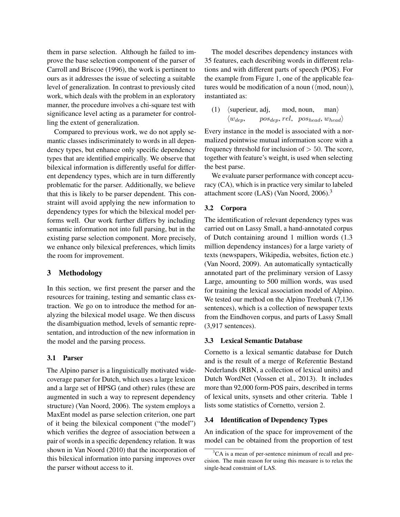them in parse selection. Although he failed to improve the base selection component of the parser of Carroll and Briscoe (1996), the work is pertinent to ours as it addresses the issue of selecting a suitable level of generalization. In contrast to previously cited work, which deals with the problem in an exploratory manner, the procedure involves a chi-square test with significance level acting as a parameter for controlling the extent of generalization.

Compared to previous work, we do not apply semantic classes indiscriminately to words in all dependency types, but enhance only specific dependency types that are identified empirically. We observe that bilexical information is differently useful for different dependency types, which are in turn differently problematic for the parser. Additionally, we believe that this is likely to be parser dependent. This constraint will avoid applying the new information to dependency types for which the bilexical model performs well. Our work further differs by including semantic information not into full parsing, but in the existing parse selection component. More precisely, we enhance only bilexical preferences, which limits the room for improvement.

# 3 Methodology

In this section, we first present the parser and the resources for training, testing and semantic class extraction. We go on to introduce the method for analyzing the bilexical model usage. We then discuss the disambiguation method, levels of semantic representation, and introduction of the new information in the model and the parsing process.

# 3.1 Parser

The Alpino parser is a linguistically motivated widecoverage parser for Dutch, which uses a large lexicon and a large set of HPSG (and other) rules (these are augmented in such a way to represent dependency structure) (Van Noord, 2006). The system employs a MaxEnt model as parse selection criterion, one part of it being the bilexical component ("the model") which verifies the degree of association between a pair of words in a specific dependency relation. It was shown in Van Noord (2010) that the incorporation of this bilexical information into parsing improves over the parser without access to it.

The model describes dependency instances with 35 features, each describing words in different relations and with different parts of speech (POS). For the example from Figure 1, one of the applicable features would be modification of a noun ( $\langle \text{mod, noun} \rangle$ ), instantiated as:

 $(1)$  (superieur, adj,  $\langle w_{dep},$  $pos_{dep}, rel, \ pos_{head}, w_{head} \rangle$ mod, noun,  $man$ 

Every instance in the model is associated with a normalized pointwise mutual information score with a frequency threshold for inclusion of  $> 50$ . The score, together with feature's weight, is used when selecting the best parse.

We evaluate parser performance with concept accuracy (CA), which is in practice very similar to labeled attachment score (LAS) (Van Noord, 2006).<sup>3</sup>

# 3.2 Corpora

The identification of relevant dependency types was carried out on Lassy Small, a hand-annotated corpus of Dutch containing around 1 million words (1.3 million dependency instances) for a large variety of texts (newspapers, Wikipedia, websites, fiction etc.) (Van Noord, 2009). An automatically syntactically annotated part of the preliminary version of Lassy Large, amounting to 500 million words, was used for training the lexical association model of Alpino. We tested our method on the Alpino Treebank (7,136 sentences), which is a collection of newspaper texts from the Eindhoven corpus, and parts of Lassy Small (3,917 sentences).

# 3.3 Lexical Semantic Database

Cornetto is a lexical semantic database for Dutch and is the result of a merge of Referentie Bestand Nederlands (RBN, a collection of lexical units) and Dutch WordNet (Vossen et al., 2013). It includes more than 92,000 form-POS pairs, described in terms of lexical units, synsets and other criteria. Table 1 lists some statistics of Cornetto, version 2.

### 3.4 Identification of Dependency Types

An indication of the space for improvement of the model can be obtained from the proportion of test

 ${}^{3}$ CA is a mean of per-sentence minimum of recall and precision. The main reason for using this measure is to relax the single-head constraint of LAS.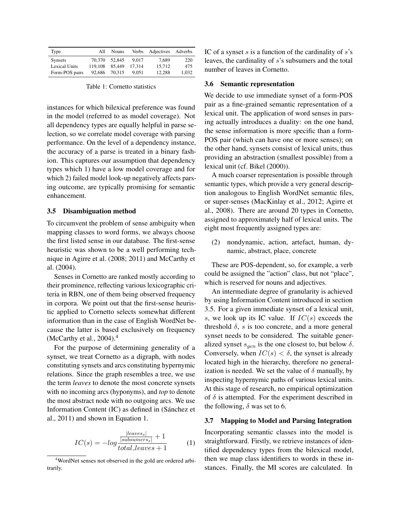| Type                 | All     | <b>Nouns</b> | <b>Verbs</b> | Adjectives | Adverbs |
|----------------------|---------|--------------|--------------|------------|---------|
| <b>Synsets</b>       | 70,370  | 52,845       | 9.017        | 7.689      | 220     |
| <b>Lexical Units</b> | 119.108 | 85,449       | 17.314       | 15.712     | 475     |
| Form-POS pairs       | 92.686  | 70.315       | 9.051        | 12.288     | 1.032   |

Table 1: Cornetto statistics

instances for which bilexical preference was found in the model (referred to as model coverage). Not all dependency types are equally helpful in parse selection, so we correlate model coverage with parsing performance. On the level of a dependency instance, the accuracy of a parse is treated in a binary fashion. This captures our assumption that dependency types which 1) have a low model coverage and for which 2) failed model look-up negatively affects parsing outcome, are typically promising for semantic enhancement.

#### 3.5 Disambiguation method

To circumvent the problem of sense ambiguity when mapping classes to word forms, we always choose the first listed sense in our database. The first-sense heuristic was shown to be a well performing technique in Agirre et al. (2008; 2011) and McCarthy et al. (2004).

Senses in Cornetto are ranked mostly according to their prominence, reflecting various lexicographic criteria in RBN, one of them being observed frequency in corpora. We point out that the first-sense heuristic applied to Cornetto selects somewhat different information than in the case of English WordNet because the latter is based exclusively on frequency (McCarthy et al.,  $2004$ ).<sup>4</sup>

For the purpose of determining generality of a synset, we treat Cornetto as a digraph, with nodes constituting synsets and arcs constituting hypernymic relations. Since the graph resembles a tree, we use the term *leaves* to denote the most concrete synsets with no incoming arcs (hyponyms), and *top* to denote the most abstract node with no outgoing arcs. We use Information Content (IC) as defined in (Sánchez et al., 2011) and shown in Equation 1.

$$
IC(s) = -log \frac{\frac{|leaves_s|}{|subsumers_s|} + 1}{total\_leaves + 1}
$$
 (1)

IC of a synset  $s$  is a function of the cardinality of  $s$ 's leaves, the cardinality of s's subsumers and the total number of leaves in Cornetto.

#### 3.6 Semantic representation

We decide to use immediate synset of a form-POS pair as a fine-grained semantic representation of a lexical unit. The application of word senses in parsing actually introduces a duality: on the one hand, the sense information is more specific than a form-POS pair (which can have one or more senses); on the other hand, synsets consist of lexical units, thus providing an abstraction (smallest possible) from a lexical unit (cf. Bikel (2000)).

A much coarser representation is possible through semantic types, which provide a very general description analogous to English WordNet semantic files, or super-senses (MacKinlay et al., 2012; Agirre et al., 2008). There are around 20 types in Cornetto, assigned to approximately half of lexical units. The eight most frequently assigned types are:

(2) nondynamic, action, artefact, human, dynamic, abstract, place, concrete

These are POS-dependent, so, for example, a verb could be assigned the "action" class, but not "place", which is reserved for nouns and adjectives.

An intermediate degree of granularity is achieved by using Information Content introduced in section 3.5. For a given immediate synset of a lexical unit, s, we look up its IC value. If  $IC(s)$  exceeds the threshold  $\delta$ , s is too concrete, and a more general synset needs to be considered. The suitable generalized synset  $s_{gen}$  is the one closest to, but below  $\delta$ . Conversely, when  $IC(s) < \delta$ , the synset is already located high in the hierarchy, therefore no generalization is needed. We set the value of  $\delta$  manually, by inspecting hypernymic paths of various lexical units. At this stage of research, no empirical optimization of  $\delta$  is attempted. For the experiment described in the following,  $\delta$  was set to 6.

#### 3.7 Mapping to Model and Parsing Integration

Incorporating semantic classes into the model is straightforward. Firstly, we retrieve instances of identified dependency types from the bilexical model, then we map class identifiers to words in these instances. Finally, the MI scores are calculated. In

<sup>4</sup>WordNet senses not observed in the gold are ordered arbitrarily.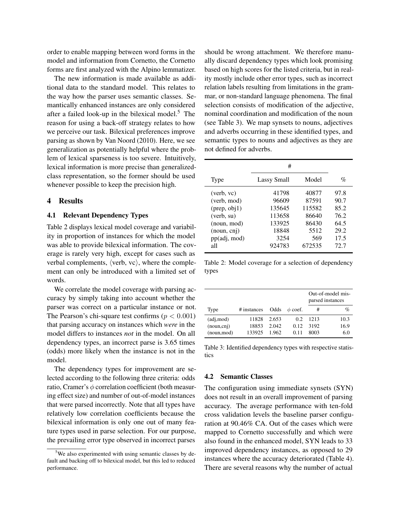order to enable mapping between word forms in the model and information from Cornetto, the Cornetto forms are first analyzed with the Alpino lemmatizer.

The new information is made available as additional data to the standard model. This relates to the way how the parser uses semantic classes. Semantically enhanced instances are only considered after a failed look-up in the bilexical model.<sup>5</sup> The reason for using a back-off strategy relates to how we perceive our task. Bilexical preferences improve parsing as shown by Van Noord (2010). Here, we see generalization as potentially helpful where the problem of lexical sparseness is too severe. Intuitively, lexical information is more precise than generalizedclass representation, so the former should be used whenever possible to keep the precision high.

### 4 Results

### 4.1 Relevant Dependency Types

Table 2 displays lexical model coverage and variability in proportion of instances for which the model was able to provide bilexical information. The coverage is rarely very high, except for cases such as verbal complements,  $\langle$  verb, vc $\rangle$ , where the complement can only be introduced with a limited set of words.

We correlate the model coverage with parsing accuracy by simply taking into account whether the parser was correct on a particular instance or not. The Pearson's chi-square test confirms ( $p < 0.001$ ) that parsing accuracy on instances which *were* in the model differs to instances *not* in the model. On all dependency types, an incorrect parse is 3.65 times (odds) more likely when the instance is not in the model.

The dependency types for improvement are selected according to the following three criteria: odds ratio, Cramer's  $\phi$  correlation coefficient (both measuring effect size) and number of out-of-model instances that were parsed incorrectly. Note that all types have relatively low correlation coefficients because the bilexical information is only one out of many feature types used in parse selection. For our purpose, the prevailing error type observed in incorrect parses

should be wrong attachment. We therefore manually discard dependency types which look promising based on high scores for the listed criteria, but in reality mostly include other error types, such as incorrect relation labels resulting from limitations in the grammar, or non-standard language phenomena. The final selection consists of modification of the adjective, nominal coordination and modification of the noun (see Table 3). We map synsets to nouns, adjectives and adverbs occurring in these identified types, and semantic types to nouns and adjectives as they are not defined for adverbs.

|              | #                  |        |      |
|--------------|--------------------|--------|------|
| Type         | <b>Lassy Small</b> | Model  | %    |
| (verb, vc)   | 41798              | 40877  | 97.8 |
| (verb, mod)  | 96609              | 87591  | 90.7 |
| (prep, obj1) | 135645             | 115582 | 85.2 |
| (verb, su)   | 113658             | 86640  | 76.2 |
| (noun, mod)  | 133925             | 86430  | 64.5 |
| (noun, cnj)  | 18848              | 5512   | 29.2 |
| pp(adj, mod) | 3254               | 569    | 17.5 |
| all          | 924783             | 672535 | 72.7 |

Table 2: Model coverage for a selection of dependency types

|             |             |       |              | Out-of-model mis-<br>parsed instances |      |
|-------------|-------------|-------|--------------|---------------------------------------|------|
| Type        | # instances | Odds  | $\phi$ coef. | #                                     | $\%$ |
| (adj, mod)  | 11828       | 2.653 | 0.2          | 1213                                  | 10.3 |
| (noun,cnj)  | 18853       | 2.042 | 0.12         | 3192                                  | 16.9 |
| (noun, mod) | 133925      | 1.962 | 0.11         | 8003                                  | 6.0  |

Table 3: Identified dependency types with respective statistics

#### 4.2 Semantic Classes

The configuration using immediate synsets (SYN) does not result in an overall improvement of parsing accuracy. The average performance with ten-fold cross validation levels the baseline parser configuration at 90.46% CA. Out of the cases which were mapped to Cornetto successfully and which were also found in the enhanced model, SYN leads to 33 improved dependency instances, as opposed to 29 instances where the accuracy deteriorated (Table 4). There are several reasons why the number of actual

 $5$ We also experimented with using semantic classes by default and backing off to bilexical model, but this led to reduced performance.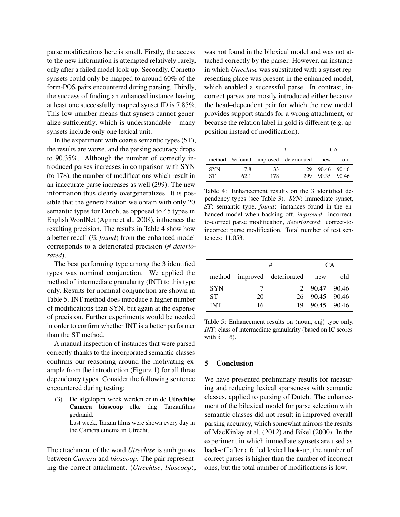parse modifications here is small. Firstly, the access to the new information is attempted relatively rarely, only after a failed model look-up. Secondly, Cornetto synsets could only be mapped to around 60% of the form-POS pairs encountered during parsing. Thirdly, the success of finding an enhanced instance having at least one successfully mapped synset ID is 7.85%. This low number means that synsets cannot generalize sufficiently, which is understandable – many synsets include only one lexical unit.

In the experiment with coarse semantic types (ST), the results are worse, and the parsing accuracy drops to 90.35%. Although the number of correctly introduced parses increases in comparison with SYN (to 178), the number of modifications which result in an inaccurate parse increases as well (299). The new information thus clearly overgeneralizes. It is possible that the generalization we obtain with only 20 semantic types for Dutch, as opposed to 45 types in English WordNet (Agirre et al., 2008), influences the resulting precision. The results in Table 4 show how a better recall (*% found*) from the enhanced model corresponds to a deteriorated precision (*# deteriorated*).

The best performing type among the 3 identified types was nominal conjunction. We applied the method of intermediate granularity (INT) to this type only. Results for nominal conjunction are shown in Table 5. INT method does introduce a higher number of modifications than SYN, but again at the expense of precision. Further experiments would be needed in order to confirm whether INT is a better performer than the ST method.

A manual inspection of instances that were parsed correctly thanks to the incorporated semantic classes confirms our reasoning around the motivating example from the introduction (Figure 1) for all three dependency types. Consider the following sentence encountered during testing:

(3) De afgelopen week werden er in de Utrechtse Camera bioscoop elke dag Tarzanfilms gedraaid. Last week, Tarzan films were shown every day in

the Camera cinema in Utrecht.

The attachment of the word *Utrechtse* is ambiguous between *Camera* and *bioscoop*. The pair representing the correct attachment,  $\langle Ut$ rechtse, *bioscoop* $\rangle$ , was not found in the bilexical model and was not attached correctly by the parser. However, an instance in which *Utrechtse* was substituted with a synset representing place was present in the enhanced model, which enabled a successful parse. In contrast, incorrect parses are mostly introduced either because the head–dependent pair for which the new model provides support stands for a wrong attachment, or because the relation label in gold is different (e.g. apposition instead of modification).

|            |      | #   |                                      |                | CA.         |
|------------|------|-----|--------------------------------------|----------------|-------------|
|            |      |     | method % found improved deteriorated | new            | old         |
| <b>SYN</b> | 7.8  | 33  |                                      | 29 90.46 90.46 |             |
| <b>ST</b>  | 62.1 | 178 | 299                                  |                | 90.35 90.46 |

Table 4: Enhancement results on the 3 identified dependency types (see Table 3). *SYN*: immediate synset, *ST*: semantic type, *found*: instances found in the enhanced model when backing off, *improved*: incorrectto-correct parse modification, *deteriorated*: correct-toincorrect parse modification. Total number of test sentences: 11,053.

|            | #  |                              | CA.            |     |
|------------|----|------------------------------|----------------|-----|
|            |    | method improved deteriorated | new            | old |
| <b>SYN</b> | 7  |                              | 2 90.47 90.46  |     |
| <b>ST</b>  | 20 |                              | 26 90.45 90.46 |     |
| <b>INT</b> | 16 | 19.                          | 90.45 90.46    |     |

Table 5: Enhancement results on  $\langle$  noun, cnj $\rangle$  type only. *INT*: class of intermediate granularity (based on IC scores with  $\delta = 6$ ).

## 5 Conclusion

We have presented preliminary results for measuring and reducing lexical sparseness with semantic classes, applied to parsing of Dutch. The enhancement of the bilexical model for parse selection with semantic classes did not result in improved overall parsing accuracy, which somewhat mirrors the results of MacKinlay et al. (2012) and Bikel (2000). In the experiment in which immediate synsets are used as back-off after a failed lexical look-up, the number of correct parses is higher than the number of incorrect ones, but the total number of modifications is low.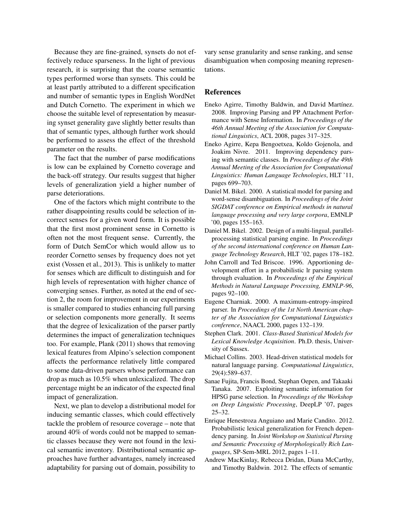Because they are fine-grained, synsets do not effectively reduce sparseness. In the light of previous research, it is surprising that the coarse semantic types performed worse than synsets. This could be at least partly attributed to a different specification and number of semantic types in English WordNet and Dutch Cornetto. The experiment in which we choose the suitable level of representation by measuring synset generality gave slightly better results than that of semantic types, although further work should be performed to assess the effect of the threshold parameter on the results.

The fact that the number of parse modifications is low can be explained by Cornetto coverage and the back-off strategy. Our results suggest that higher levels of generalization yield a higher number of parse deteriorations.

One of the factors which might contribute to the rather disappointing results could be selection of incorrect senses for a given word form. It is possible that the first most prominent sense in Cornetto is often not the most frequent sense. Currently, the form of Dutch SemCor which would allow us to reorder Cornetto senses by frequency does not yet exist (Vossen et al., 2013). This is unlikely to matter for senses which are difficult to distinguish and for high levels of representation with higher chance of converging senses. Further, as noted at the end of section 2, the room for improvement in our experiments is smaller compared to studies enhancing full parsing or selection components more generally. It seems that the degree of lexicalization of the parser partly determines the impact of generalization techniques too. For example, Plank (2011) shows that removing lexical features from Alpino's selection component affects the performance relatively little compared to some data-driven parsers whose performance can drop as much as 10.5% when unlexicalized. The drop percentage might be an indicator of the expected final impact of generalization.

Next, we plan to develop a distributional model for inducing semantic classes, which could effectively tackle the problem of resource coverage – note that around 40% of words could not be mapped to semantic classes because they were not found in the lexical semantic inventory. Distributional semantic approaches have further advantages, namely increased adaptability for parsing out of domain, possibility to

vary sense granularity and sense ranking, and sense disambiguation when composing meaning representations.

#### References

- Eneko Agirre, Timothy Baldwin, and David Martínez. 2008. Improving Parsing and PP Attachment Performance with Sense Information. In *Proceedings of the 46th Annual Meeting of the Association for Computational Linguistics*, ACL 2008, pages 317–325.
- Eneko Agirre, Kepa Bengoetxea, Koldo Gojenola, and Joakim Nivre. 2011. Improving dependency parsing with semantic classes. In *Proceedings of the 49th Annual Meeting of the Association for Computational Linguistics: Human Language Technologies*, HLT '11, pages 699–703.
- Daniel M. Bikel. 2000. A statistical model for parsing and word-sense disambiguation. In *Proceedings of the Joint SIGDAT conference on Empirical methods in natural language processing and very large corpora*, EMNLP '00, pages 155–163.
- Daniel M. Bikel. 2002. Design of a multi-lingual, parallelprocessing statistical parsing engine. In *Proceedings of the second international conference on Human Language Technology Research*, HLT '02, pages 178–182.
- John Carroll and Ted Briscoe. 1996. Apportioning development effort in a probabilistic lr parsing system through evaluation. In *Proceedings of the Empirical Methods in Natural Language Processing, EMNLP-96*, pages 92–100.
- Eugene Charniak. 2000. A maximum-entropy-inspired parser. In *Proceedings of the 1st North American chapter of the Association for Computational Linguistics conference*, NAACL 2000, pages 132–139.
- Stephen Clark. 2001. *Class-Based Statistical Models for Lexical Knowledge Acquisition*. Ph.D. thesis, University of Sussex.
- Michael Collins. 2003. Head-driven statistical models for natural language parsing. *Computational Linguistics*, 29(4):589–637.
- Sanae Fujita, Francis Bond, Stephan Oepen, and Takaaki Tanaka. 2007. Exploiting semantic information for HPSG parse selection. In *Proceedings of the Workshop on Deep Linguistic Processing*, DeepLP '07, pages 25–32.
- Enrique Henestroza Anguiano and Marie Candito. 2012. Probabilistic lexical generalization for French dependency parsing. In *Joint Workshop on Statistical Parsing and Semantic Processing of Morphologically Rich Languages*, SP-Sem-MRL 2012, pages 1–11.
- Andrew MacKinlay, Rebecca Dridan, Diana McCarthy, and Timothy Baldwin. 2012. The effects of semantic